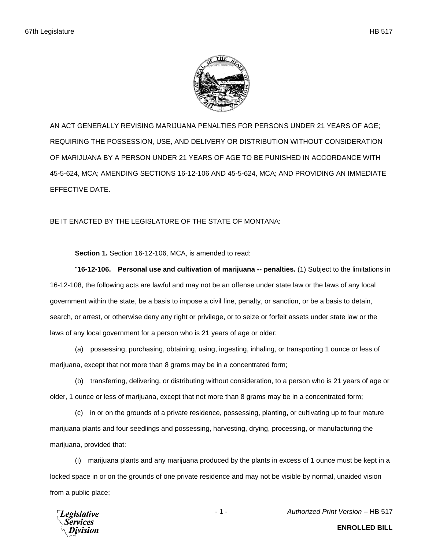

AN ACT GENERALLY REVISING MARIJUANA PENALTIES FOR PERSONS UNDER 21 YEARS OF AGE; REQUIRING THE POSSESSION, USE, AND DELIVERY OR DISTRIBUTION WITHOUT CONSIDERATION OF MARIJUANA BY A PERSON UNDER 21 YEARS OF AGE TO BE PUNISHED IN ACCORDANCE WITH 45-5-624, MCA; AMENDING SECTIONS 16-12-106 AND 45-5-624, MCA; AND PROVIDING AN IMMEDIATE EFFECTIVE DATE.

BE IT ENACTED BY THE LEGISLATURE OF THE STATE OF MONTANA:

**Section 1.** Section 16-12-106, MCA, is amended to read:

"**16-12-106. Personal use and cultivation of marijuana -- penalties.** (1) Subject to the limitations in 16-12-108, the following acts are lawful and may not be an offense under state law or the laws of any local government within the state, be a basis to impose a civil fine, penalty, or sanction, or be a basis to detain, search, or arrest, or otherwise deny any right or privilege, or to seize or forfeit assets under state law or the laws of any local government for a person who is 21 years of age or older:

(a) possessing, purchasing, obtaining, using, ingesting, inhaling, or transporting 1 ounce or less of marijuana, except that not more than 8 grams may be in a concentrated form;

(b) transferring, delivering, or distributing without consideration, to a person who is 21 years of age or older, 1 ounce or less of marijuana, except that not more than 8 grams may be in a concentrated form;

(c) in or on the grounds of a private residence, possessing, planting, or cultivating up to four mature marijuana plants and four seedlings and possessing, harvesting, drying, processing, or manufacturing the marijuana, provided that:

(i) marijuana plants and any marijuana produced by the plants in excess of 1 ounce must be kept in a locked space in or on the grounds of one private residence and may not be visible by normal, unaided vision from a public place;

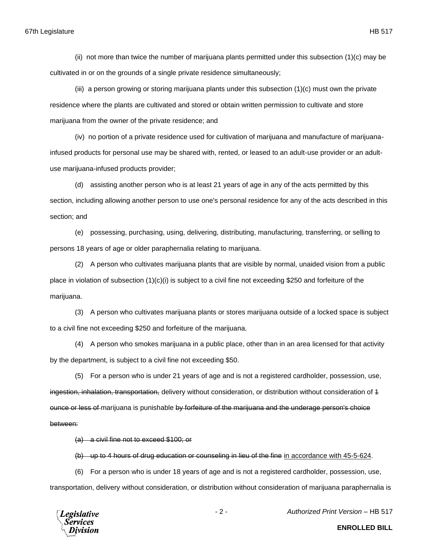## 67th Legislature HB 517

(ii) not more than twice the number of marijuana plants permitted under this subsection (1)(c) may be cultivated in or on the grounds of a single private residence simultaneously;

(iii) a person growing or storing marijuana plants under this subsection (1)(c) must own the private residence where the plants are cultivated and stored or obtain written permission to cultivate and store marijuana from the owner of the private residence; and

(iv) no portion of a private residence used for cultivation of marijuana and manufacture of marijuanainfused products for personal use may be shared with, rented, or leased to an adult-use provider or an adultuse marijuana-infused products provider;

(d) assisting another person who is at least 21 years of age in any of the acts permitted by this section, including allowing another person to use one's personal residence for any of the acts described in this section; and

(e) possessing, purchasing, using, delivering, distributing, manufacturing, transferring, or selling to persons 18 years of age or older paraphernalia relating to marijuana.

(2) A person who cultivates marijuana plants that are visible by normal, unaided vision from a public place in violation of subsection (1)(c)(i) is subject to a civil fine not exceeding \$250 and forfeiture of the marijuana.

(3) A person who cultivates marijuana plants or stores marijuana outside of a locked space is subject to a civil fine not exceeding \$250 and forfeiture of the marijuana.

(4) A person who smokes marijuana in a public place, other than in an area licensed for that activity by the department, is subject to a civil fine not exceeding \$50.

(5) For a person who is under 21 years of age and is not a registered cardholder, possession, use, ingestion, inhalation, transportation, delivery without consideration, or distribution without consideration of 1 ounce or less of marijuana is punishable by forfeiture of the marijuana and the underage person's choice between:

(a) a civil fine not to exceed \$100; or

(b) up to 4 hours of drug education or counseling in lieu of the fine in accordance with 45-5-624.

(6) For a person who is under 18 years of age and is not a registered cardholder, possession, use, transportation, delivery without consideration, or distribution without consideration of marijuana paraphernalia is



- 2 - *Authorized Print Version* – HB 517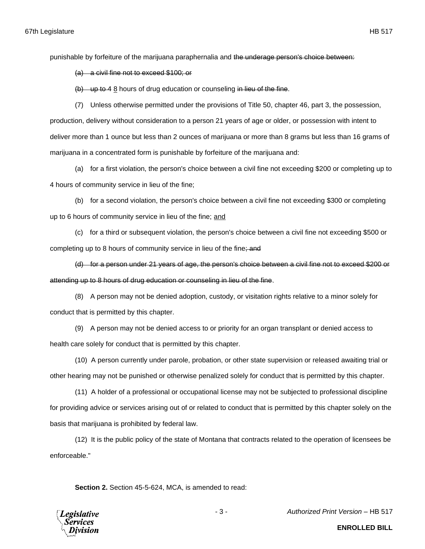punishable by forfeiture of the marijuana paraphernalia and the underage person's choice between:

(a) a civil fine not to exceed \$100; or

(b) up to 4 8 hours of drug education or counseling in lieu of the fine.

(7) Unless otherwise permitted under the provisions of Title 50, chapter 46, part 3, the possession, production, delivery without consideration to a person 21 years of age or older, or possession with intent to deliver more than 1 ounce but less than 2 ounces of marijuana or more than 8 grams but less than 16 grams of marijuana in a concentrated form is punishable by forfeiture of the marijuana and:

(a) for a first violation, the person's choice between a civil fine not exceeding \$200 or completing up to 4 hours of community service in lieu of the fine;

(b) for a second violation, the person's choice between a civil fine not exceeding \$300 or completing up to 6 hours of community service in lieu of the fine; and

(c) for a third or subsequent violation, the person's choice between a civil fine not exceeding \$500 or completing up to 8 hours of community service in lieu of the fine; and

(d) for a person under 21 years of age, the person's choice between a civil fine not to exceed \$200 or attending up to 8 hours of drug education or counseling in lieu of the fine.

(8) A person may not be denied adoption, custody, or visitation rights relative to a minor solely for conduct that is permitted by this chapter.

(9) A person may not be denied access to or priority for an organ transplant or denied access to health care solely for conduct that is permitted by this chapter.

(10) A person currently under parole, probation, or other state supervision or released awaiting trial or other hearing may not be punished or otherwise penalized solely for conduct that is permitted by this chapter.

(11) A holder of a professional or occupational license may not be subjected to professional discipline for providing advice or services arising out of or related to conduct that is permitted by this chapter solely on the basis that marijuana is prohibited by federal law.

(12) It is the public policy of the state of Montana that contracts related to the operation of licensees be enforceable."

**Section 2.** Section 45-5-624, MCA, is amended to read:



- 3 - *Authorized Print Version* – HB 517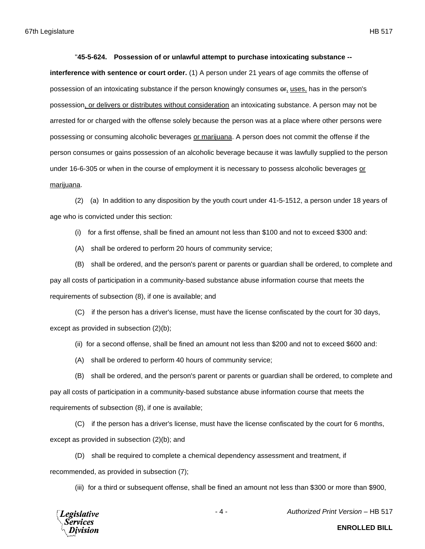## "**45-5-624. Possession of or unlawful attempt to purchase intoxicating substance --**

**interference with sentence or court order.** (1) A person under 21 years of age commits the offense of possession of an intoxicating substance if the person knowingly consumes or, uses, has in the person's possession, or delivers or distributes without consideration an intoxicating substance. A person may not be arrested for or charged with the offense solely because the person was at a place where other persons were possessing or consuming alcoholic beverages or marijuana. A person does not commit the offense if the person consumes or gains possession of an alcoholic beverage because it was lawfully supplied to the person under 16-6-305 or when in the course of employment it is necessary to possess alcoholic beverages or marijuana.

(2) (a) In addition to any disposition by the youth court under 41-5-1512, a person under 18 years of age who is convicted under this section:

(i) for a first offense, shall be fined an amount not less than \$100 and not to exceed \$300 and:

(A) shall be ordered to perform 20 hours of community service;

(B) shall be ordered, and the person's parent or parents or guardian shall be ordered, to complete and pay all costs of participation in a community-based substance abuse information course that meets the requirements of subsection (8), if one is available; and

(C) if the person has a driver's license, must have the license confiscated by the court for 30 days, except as provided in subsection (2)(b);

(ii) for a second offense, shall be fined an amount not less than \$200 and not to exceed \$600 and:

(A) shall be ordered to perform 40 hours of community service;

(B) shall be ordered, and the person's parent or parents or guardian shall be ordered, to complete and pay all costs of participation in a community-based substance abuse information course that meets the requirements of subsection (8), if one is available;

(C) if the person has a driver's license, must have the license confiscated by the court for 6 months, except as provided in subsection (2)(b); and

(D) shall be required to complete a chemical dependency assessment and treatment, if recommended, as provided in subsection (7);

(iii) for a third or subsequent offense, shall be fined an amount not less than \$300 or more than \$900,



- 4 - *Authorized Print Version* – HB 517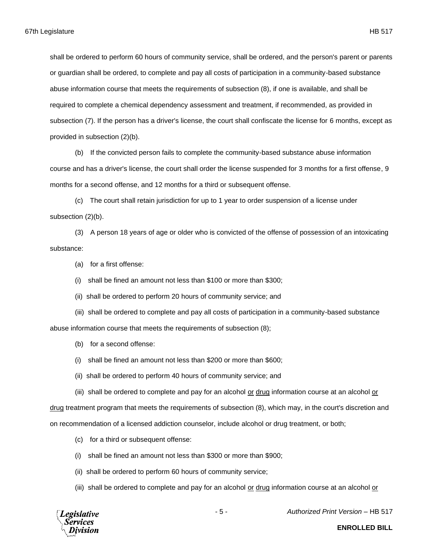shall be ordered to perform 60 hours of community service, shall be ordered, and the person's parent or parents or guardian shall be ordered, to complete and pay all costs of participation in a community-based substance abuse information course that meets the requirements of subsection (8), if one is available, and shall be required to complete a chemical dependency assessment and treatment, if recommended, as provided in subsection (7). If the person has a driver's license, the court shall confiscate the license for 6 months, except as provided in subsection (2)(b).

(b) If the convicted person fails to complete the community-based substance abuse information course and has a driver's license, the court shall order the license suspended for 3 months for a first offense, 9 months for a second offense, and 12 months for a third or subsequent offense.

(c) The court shall retain jurisdiction for up to 1 year to order suspension of a license under subsection (2)(b).

(3) A person 18 years of age or older who is convicted of the offense of possession of an intoxicating substance:

(a) for a first offense:

(i) shall be fined an amount not less than \$100 or more than \$300;

(ii) shall be ordered to perform 20 hours of community service; and

(iii) shall be ordered to complete and pay all costs of participation in a community-based substance abuse information course that meets the requirements of subsection (8);

(b) for a second offense:

(i) shall be fined an amount not less than \$200 or more than \$600;

(ii) shall be ordered to perform 40 hours of community service; and

(iii) shall be ordered to complete and pay for an alcohol or drug information course at an alcohol or

drug treatment program that meets the requirements of subsection (8), which may, in the court's discretion and on recommendation of a licensed addiction counselor, include alcohol or drug treatment, or both;

(c) for a third or subsequent offense:

(i) shall be fined an amount not less than \$300 or more than \$900;

(ii) shall be ordered to perform 60 hours of community service;

(iii) shall be ordered to complete and pay for an alcohol or drug information course at an alcohol or



- 5 - *Authorized Print Version* – HB 517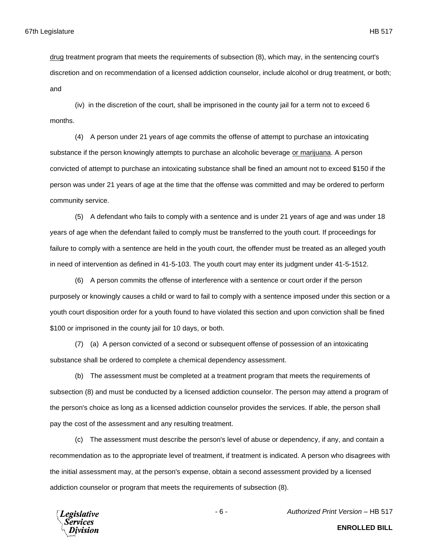drug treatment program that meets the requirements of subsection (8), which may, in the sentencing court's discretion and on recommendation of a licensed addiction counselor, include alcohol or drug treatment, or both; and

(iv) in the discretion of the court, shall be imprisoned in the county jail for a term not to exceed 6 months.

(4) A person under 21 years of age commits the offense of attempt to purchase an intoxicating substance if the person knowingly attempts to purchase an alcoholic beverage or marijuana. A person convicted of attempt to purchase an intoxicating substance shall be fined an amount not to exceed \$150 if the person was under 21 years of age at the time that the offense was committed and may be ordered to perform community service.

(5) A defendant who fails to comply with a sentence and is under 21 years of age and was under 18 years of age when the defendant failed to comply must be transferred to the youth court. If proceedings for failure to comply with a sentence are held in the youth court, the offender must be treated as an alleged youth in need of intervention as defined in 41-5-103. The youth court may enter its judgment under 41-5-1512.

(6) A person commits the offense of interference with a sentence or court order if the person purposely or knowingly causes a child or ward to fail to comply with a sentence imposed under this section or a youth court disposition order for a youth found to have violated this section and upon conviction shall be fined \$100 or imprisoned in the county jail for 10 days, or both.

(7) (a) A person convicted of a second or subsequent offense of possession of an intoxicating substance shall be ordered to complete a chemical dependency assessment.

(b) The assessment must be completed at a treatment program that meets the requirements of subsection (8) and must be conducted by a licensed addiction counselor. The person may attend a program of the person's choice as long as a licensed addiction counselor provides the services. If able, the person shall pay the cost of the assessment and any resulting treatment.

(c) The assessment must describe the person's level of abuse or dependency, if any, and contain a recommendation as to the appropriate level of treatment, if treatment is indicated. A person who disagrees with the initial assessment may, at the person's expense, obtain a second assessment provided by a licensed addiction counselor or program that meets the requirements of subsection (8).

**Legislative** Services

**ENROLLED BILL**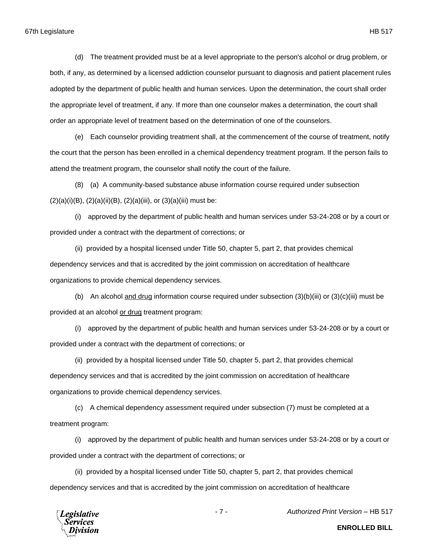(d) The treatment provided must be at a level appropriate to the person's alcohol or drug problem, or both, if any, as determined by a licensed addiction counselor pursuant to diagnosis and patient placement rules adopted by the department of public health and human services. Upon the determination, the court shall order the appropriate level of treatment, if any. If more than one counselor makes a determination, the court shall order an appropriate level of treatment based on the determination of one of the counselors.

(e) Each counselor providing treatment shall, at the commencement of the course of treatment, notify the court that the person has been enrolled in a chemical dependency treatment program. If the person fails to attend the treatment program, the counselor shall notify the court of the failure.

(8) (a) A community-based substance abuse information course required under subsection  $(2)(a)(i)(B), (2)(a)(ii)(B), (2)(a)(iii), or (3)(a)(iii) must be:$ 

(i) approved by the department of public health and human services under 53-24-208 or by a court or provided under a contract with the department of corrections; or

(ii) provided by a hospital licensed under Title 50, chapter 5, part 2, that provides chemical dependency services and that is accredited by the joint commission on accreditation of healthcare organizations to provide chemical dependency services.

(b) An alcohol and drug information course required under subsection  $(3)(b)(iii)$  or  $(3)(c)(iii)$  must be provided at an alcohol or drug treatment program:

(i) approved by the department of public health and human services under 53-24-208 or by a court or provided under a contract with the department of corrections; or

(ii) provided by a hospital licensed under Title 50, chapter 5, part 2, that provides chemical dependency services and that is accredited by the joint commission on accreditation of healthcare organizations to provide chemical dependency services.

(c) A chemical dependency assessment required under subsection (7) must be completed at a treatment program:

(i) approved by the department of public health and human services under 53-24-208 or by a court or provided under a contract with the department of corrections; or

(ii) provided by a hospital licensed under Title 50, chapter 5, part 2, that provides chemical dependency services and that is accredited by the joint commission on accreditation of healthcare



- 7 - *Authorized Print Version* – HB 517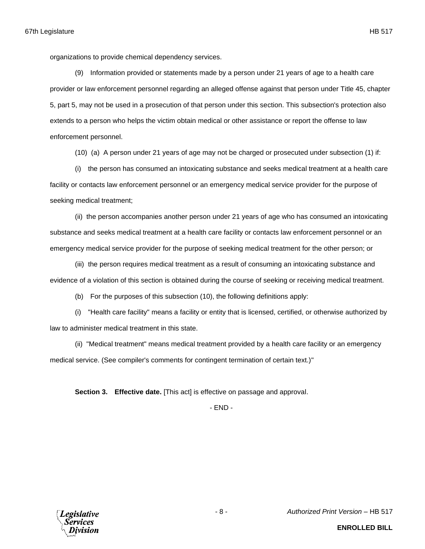organizations to provide chemical dependency services.

(9) Information provided or statements made by a person under 21 years of age to a health care provider or law enforcement personnel regarding an alleged offense against that person under Title 45, chapter 5, part 5, may not be used in a prosecution of that person under this section. This subsection's protection also extends to a person who helps the victim obtain medical or other assistance or report the offense to law enforcement personnel.

(10) (a) A person under 21 years of age may not be charged or prosecuted under subsection (1) if:

(i) the person has consumed an intoxicating substance and seeks medical treatment at a health care facility or contacts law enforcement personnel or an emergency medical service provider for the purpose of seeking medical treatment;

(ii) the person accompanies another person under 21 years of age who has consumed an intoxicating substance and seeks medical treatment at a health care facility or contacts law enforcement personnel or an emergency medical service provider for the purpose of seeking medical treatment for the other person; or

(iii) the person requires medical treatment as a result of consuming an intoxicating substance and evidence of a violation of this section is obtained during the course of seeking or receiving medical treatment.

(b) For the purposes of this subsection (10), the following definitions apply:

(i) "Health care facility" means a facility or entity that is licensed, certified, or otherwise authorized by law to administer medical treatment in this state.

(ii) "Medical treatment" means medical treatment provided by a health care facility or an emergency medical service. (See compiler's comments for contingent termination of certain text.)"

**Section 3. Effective date.** [This act] is effective on passage and approval.

- END -

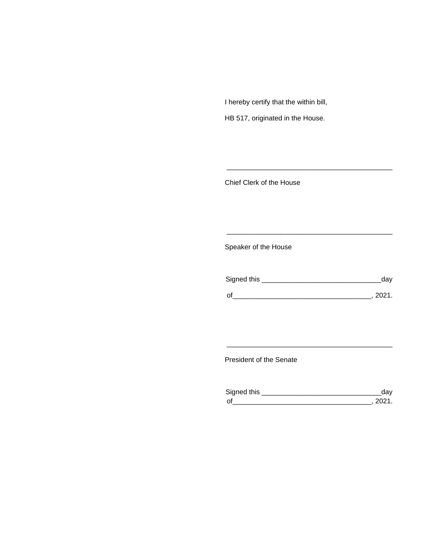I hereby certify that the within bill,

HB 517, originated in the House.

Chief Clerk of the House

Speaker of the House

| Signed this | dav    |
|-------------|--------|
| $\Omega$    | - 2021 |

\_\_\_\_\_\_\_\_\_\_\_\_\_\_\_\_\_\_\_\_\_\_\_\_\_\_\_\_\_\_\_\_\_\_\_\_\_\_\_\_\_\_\_

\_\_\_\_\_\_\_\_\_\_\_\_\_\_\_\_\_\_\_\_\_\_\_\_\_\_\_\_\_\_\_\_\_\_\_\_\_\_\_\_\_\_\_

President of the Senate

| Sianed this |  |
|-------------|--|
| $\Omega$    |  |

\_\_\_\_\_\_\_\_\_\_\_\_\_\_\_\_\_\_\_\_\_\_\_\_\_\_\_\_\_\_\_\_\_\_\_\_\_\_\_\_\_\_\_